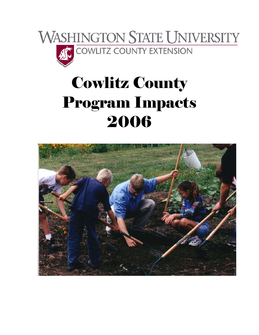

# Cowlitz County Program Impacts 2006

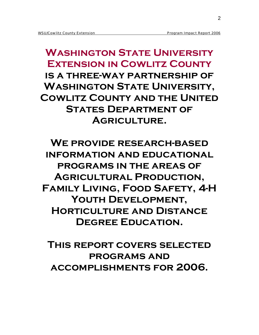**Washington State University Extension in Cowlitz County is a three-way partnership of Washington State University, Cowlitz County and the United States Department of Agriculture.** 

**We provide research-based information and educational programs in the areas of Agricultural Production, Family Living, Food Safety, 4-H Youth Development, Horticulture and Distance Degree Education.** 

**This report covers selected programs and accomplishments for 2006.**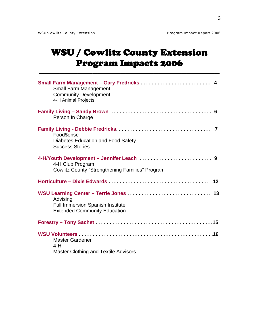# WSU / Cowlitz County Extension Program Impacts 2006

| <b>Small Farm Management</b><br><b>Community Development</b><br>4-H Animal Projects                                     |  |
|-------------------------------------------------------------------------------------------------------------------------|--|
| Person In Charge                                                                                                        |  |
| Food\$ense<br><b>Diabetes Education and Food Safety</b><br><b>Success Stories</b>                                       |  |
| 4-H/Youth Development - Jennifer Leach  9<br>4-H Club Program<br><b>Cowlitz County "Strengthening Families" Program</b> |  |
|                                                                                                                         |  |
| Advising<br>Full Immersion Spanish Institute<br><b>Extended Community Education</b>                                     |  |
|                                                                                                                         |  |
| <b>Master Gardener</b><br>$4-H$<br><b>Master Clothing and Textile Advisors</b>                                          |  |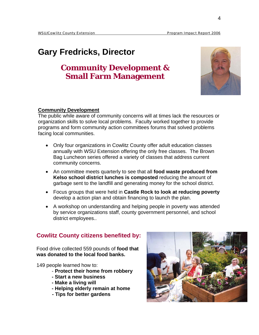# **Gary Fredricks, Director**

# **Community Development & Small Farm Management**



#### **Community Development**

The public while aware of community concerns will at times lack the resources or organization skills to solve local problems. Faculty worked together to provide programs and form community action committees forums that solved problems facing local communities.

- Only four organizations in Cowlitz County offer adult education classes annually with WSU Extension offering the only free classes. The Brown Bag Luncheon series offered a variety of classes that address current community concerns.
- An committee meets quarterly to see that all **food waste produced from Kelso school district lunches is composted** reducing the amount of garbage sent to the landfill and generating money for the school district.
- Focus groups that were held in **Castle Rock to look at reducing poverty**  develop a action plan and obtain financing to launch the plan.
- A workshop on understanding and helping people in poverty was attended by service organizations staff, county government personnel, and school district employees..

## **Cowlitz County citizens benefited by:**

Food drive collected 559 pounds of **food that was donated to the local food banks.**

149 people learned how to:

- **Protect their home from robbery**
- **Start a new business**
- **Make a living will**
- **Helping elderly remain at home**
- **Tips for better gardens**

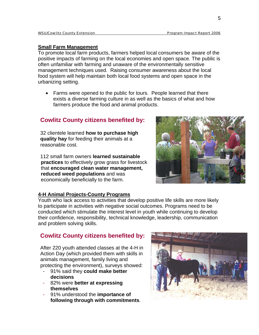#### **Small Farm Management**

To promote local farm products, farmers helped local consumers be aware of the positive impacts of farming on the local economies and open space. The public is often unfamiliar with farming and unaware of the environmentally sensitive management techniques used. Raising consumer awareness about the local food system will help maintain both local food systems and open space in the urbanizing setting.

• Farms were opened to the public for tours. People learned that there exists a diverse farming culture in as well as the basics of what and how farmers produce the food and animal products.

## **Cowlitz County citizens benefited by:**

32 clientele learned **how to purchase high quality hay** for feeding their animals at a reasonable cost.

112 small farm owners **learned sustainable practices** to effectively grow grass for livestock that **encouraged clean water management, reduced weed populations** and was economically beneficially to the farm.



#### **4-H Animal Projects-County Programs**

Youth who lack access to activities that develop positive life skills are more likely to participate in activities with negative social outcomes. Programs need to be conducted which stimulate the interest level in youth while continuing to develop their confidence, responsibility, technical knowledge, leadership, communication and problem solving skills.

## **Cowlitz County citizens benefited by:**

After 220 youth attended classes at the 4-H in Action Day (which provided them with skills in animals management, family living and protecting the environment), surveys showed:

- 91% said they **could make better decisions**
- 82% were **better at expressing themselves**
- 91% understood the **importance of following through with commitments**.

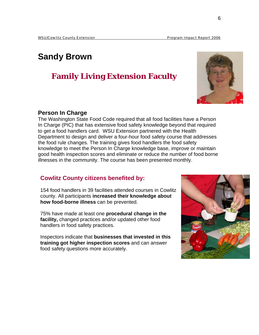# **Sandy Brown**

# **Family Living Extension Faculty**

#### **Person In Charge**

The Washington State Food Code required that all food facilities have a Person In Charge (PIC) that has extensive food safety knowledge beyond that required to get a food handlers card. WSU Extension partnered with the Health Department to design and deliver a four-hour food safety course that addresses the food rule changes. The training gives food handlers the food safety knowledge to meet the Person In Charge knowledge base, improve or maintain good health inspection scores and eliminate or reduce the number of food borne illnesses in the community. The course has been presented monthly.

## **Cowlitz County citizens benefited by:**

154 food handlers in 39 facilities attended courses in Cowlitz county. All participants **increased their knowledge about how food-borne illness** can be prevented.

75% have made at least one **procedural change in the facility,** changed practices and/or updated other food handlers in food safety practices.

Inspectors indicate that **businesses that invested in this training got higher inspection scores** and can answer food safety questions more accurately.



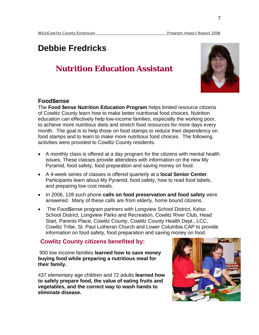# **Debbie Fredricks**

# **Nutrition Education Assistant**



#### **Food\$ense**

The **Food \$ense Nutrition Education Program** helps limited resource citizens of Cowlitz County learn how to make better nutritional food choices. Nutrition education can effectively help low-income families, especially the working poor, to achieve more nutritious diets and stretch food resources for more days every month. The goal is to help those on food stamps to reduce their dependency on food stamps and to learn to make more nutritious food choices. The following activities were provided to Cowlitz County residents.

- A monthly class is offered at a day program for the citizens with mental health issues. These classes provide attendees with information on the new My Pyramid, food safety, food preparation and saving money on food.
- A 4-week series of classes is offered quarterly at a **local Senior Center**. Participants learn about My Pyramid, food safety, how to read food labels, and preparing low cost meals.
- In 2006, 128 such phone **calls on food preservation and food safety** were answered. Many of these calls are from elderly, home bound citizens.
- The Food\$ense program partners with Longview School District, Kelso School District, Longview Parks and Recreation, Cowlitz River Club, Head Start, Parents Place, Cowlitz County, Cowlitz County Health Dept., LCC, Cowlitz Tribe, St. Paul Lutheran Church and Lower Columbia CAP to provide information on food safety, food preparation and saving money on food.

## **Cowlitz County citizens benefited by:**

 900 low income families **learned how to save money buying food while preparing a nutritious meal for their family.** 

437 elementary age children and 72 adults **learned how to safely prepare food, the value of eating fruits and vegetables, and the correct way to wash hands to eliminate disease.**

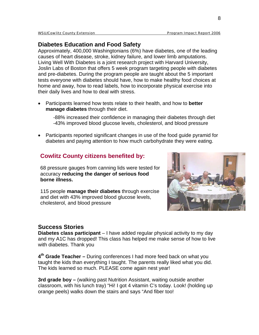## **Diabetes Education and Food Safety**

Approximately, 400,000 Washingtonians (6%) have diabetes, one of the leading causes of heart disease, stroke, kidney failure, and lower limb amputations. Living Well With Diabetes is a joint research project with Harvard University, Joslin Labs of Boston that offers 5 week program targeting people with diabetes and pre-diabetes. During the program people are taught about the 5 important tests everyone with diabetes should have, how to make healthy food choices at home and away, how to read labels, how to incorporate physical exercise into their daily lives and how to deal with stress.

• Participants learned how tests relate to their health, and how to **better manage diabetes** through their diet.

-88% increased their confidence in managing their diabetes through diet -43% improved blood glucose levels, cholesterol, and blood pressure

• Participants reported significant changes in use of the food guide pyramid for diabetes and paying attention to how much carbohydrate they were eating.

## **Cowlitz County citizens benefited by:**

68 pressure gauges from canning lids were tested for accuracy **reducing the danger of serious food borne illness.** 

115 people **manage their diabetes** through exercise and diet with 43% improved blood glucose levels, cholesterol, and blood pressure



#### **Success Stories**

**Diabetes class participant** – I have added regular physical activity to my day and my A1C has dropped! This class has helped me make sense of how to live with diabetes. Thank you

**4th Grade Teacher –** During conferences I had more feed back on what you taught the kids than everything I taught. The parents really liked what you did. The kids learned so much. PLEASE come again nest year!

**3rd grade boy –** (walking past Nutrition Assistant, waiting outside another classroom, with his lunch tray) "Hi! I got 4 vitamin C's today. Look! (holding up orange peels) walks down the stairs and says "And fiber too!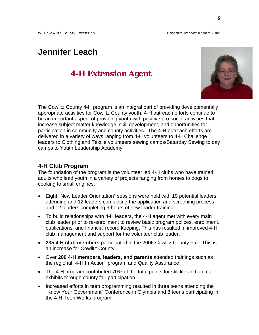# **Jennifer Leach**

# **4-H Extension Agent**



The Cowlitz County 4-H program is an integral part of providing developmentally appropriate activities for Cowlitz County youth. 4-H outreach efforts continue to be an important aspect of providing youth with positive pro-social activities that increase subject matter knowledge, skill development, and opportunities for participation in community and county activities. The 4-H outreach efforts are delivered in a variety of ways ranging from 4-H volunteers to 4-H Challenge leaders to Clothing and Textile volunteers sewing camps/Saturday Sewing to day camps to Youth Leadership Academy.

## **4-H Club Program**

The foundation of the program is the volunteer led 4-H clubs who have trained adults who lead youth in a variety of projects ranging from horses to dogs to cooking to small engines.

- Eight "New Leader Orientation" sessions were held with 19 potential leaders attending and 12 leaders completing the application and screening process and 12 leaders completing 9 hours of new leader training.
- To build relationships with 4-H leaders, the 4-H agent met with every main club leader prior to re-enrollment to review basic program polices, enrollment, publications, and financial record keeping. This has resulted in improved 4-H club management and support for the volunteer club leader.
- **235 4-H club members** participated in the 2006 Cowlitz County Fair. This is an increase for Cowlitz County.
- Over **200 4-H members, leaders, and parents** attended trainings such as the regional "4-H In Action" program and Quality Assurance
- The 4-H program contributed 70% of the total points for still life and animal exhibits through county fair participation
- Increased efforts in teen programming resulted in three teens attending the "Know Your Government" Conference in Olympia and 8 teens participating in the 4-H Teen Works program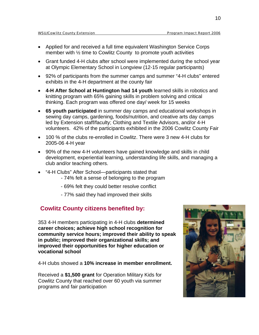- Applied for and received a full time equivalent Washington Service Corps member with ½ time to Cowlitz County to promote youth activities
- Grant funded 4-H clubs after school were implemented during the school year at Olympic Elementary School in Longview (12-15 regular participants)
- 92% of participants from the summer camps and summer "4-H clubs" entered exhibits in the 4-H department at the county fair
- **4-H After School at Huntington had 14 youth** learned skills in robotics and knitting program with 65% gaining skills in problem solving and critical thinking. Each program was offered one day/ week for 15 weeks
- **65 youth participated** in summer day camps and educational workshops in sewing day camps, gardening, foods/nutrition, and creative arts day camps led by Extension staff/faculty; Clothing and Textile Advisors, and/or 4-H volunteers. 42% of the participants exhibited in the 2006 Cowlitz County Fair
- 100 % of the clubs re-enrolled in Cowlitz. There were 3 new 4-H clubs for 2005-06 4-H year
- 90% of the new 4-H volunteers have gained knowledge and skills in child development, experiential learning, understanding life skills, and managing a club and/or teaching others.
- "4-H Clubs" After School—participants stated that
	- 74% felt a sense of belonging to the program
	- 69% felt they could better resolve conflict
	- 77% said they had improved their skills

#### **Cowlitz County citizens benefited by:**

353 4-H members participating in 4-H clubs **determined career choices; achieve high school recognition for community service hours; improved their ability to speak in public; improved their organizational skills; and improved their opportunities for higher education or vocational school** 

4-H clubs showed a **10% increase in member enrollment.** 

Received a **\$1,500 grant** for Operation Military Kids for Cowlitz County that reached over 60 youth via summer programs and fair participation

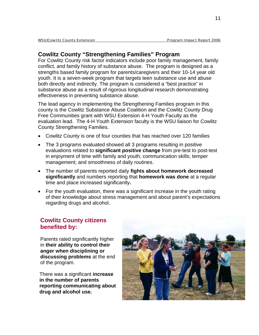## **Cowlitz County "Strengthening Families" Program**

For Cowlitz County risk factor indicators include poor family management, family conflict, and family history of substance abuse. The program is designed as a strengths based family program for parents/caregivers and their 10-14 year old youth. It is a seven-week program that targets teen substance use and abuse both directly and indirectly. The program is considered a "best practice" in substance abuse as a result of rigorous longitudinal research demonstrating effectiveness in preventing substance abuse.

The lead agency in implementing the Strengthening Families program in this county is the Cowlitz Substance Abuse Coalition and the Cowlitz County Drug Free Communities grant with WSU Extension 4-H Youth Faculty as the evaluation lead. The 4-H Youth Extension faculty is the WSU liaison for Cowlitz County Strengthening Families.

- Cowlitz County is one of four counties that has reached over 120 families
- The 3 programs evaluated showed all 3 programs resulting in positive evaluations related to **significant positive change** from pre-test to post-test in enjoyment of time with family and youth; communication skills; temper management; and smoothness of daily routines.
- The number of parents reported daily **fights about homework decreased significantly** and numbers reporting that **homework was done** at a regular time and place increased significantly**.**
- For the youth evaluation, there was a significant increase in the youth rating of their knowledge about stress management and about parent's expectations regarding drugs and alcohol.

## **Cowlitz County citizens benefited by:**

Parents rated significantly higher in **their ability to control their anger when disciplining or discussing problems** at the end of the program.

 There was a significant **increase in the number of parents reporting communicating about drug and alcohol use.** 

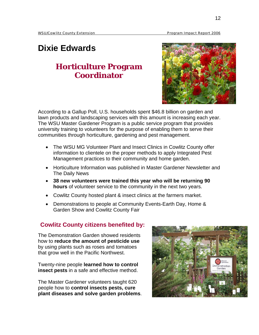# **Dixie Edwards**

# **Horticulture Program Coordinator**



According to a Gallup Poll, U.S. households spent \$46.8 billion on garden and lawn products and landscaping services with this amount is increasing each year. The WSU Master Gardener Program is a public service program that provides university training to volunteers for the purpose of enabling them to serve their communities through horticulture, gardening and pest management.

- The WSU MG Volunteer Plant and Insect Clinics in Cowlitz County offer information to clientele on the proper methods to apply Integrated Pest Management practices to their community and home garden.
- Horticulture Information was published in Master Gardener Newsletter and The Daily News
- **38 new volunteers were trained this year who will be returning 90 hours** of volunteer service to the community in the next two years.
- Cowlitz County hosted plant & insect clinics at the farmers market.
- Demonstrations to people at Community Events-Earth Day, Home & Garden Show and Cowlitz County Fair

#### **Cowlitz County citizens benefited by:**

The Demonstration Garden showed residents how to **reduce the amount of pesticide use** by using plants such as roses and tomatoes that grow well in the Pacific Northwest.

Twenty-nine people **learned how to control insect pests** in a safe and effective method.

The Master Gardener volunteers taught 620 people how to **control insects pests, cure plant diseases and solve garden problems**.

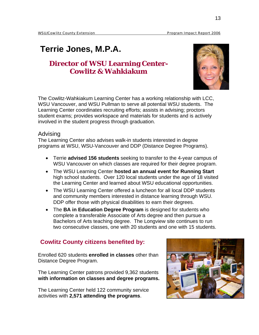# **Terrie Jones, M.P.A.**

## **Director of WSU Learning Center-Cowlitz & Wahkiakum**



The Cowlitz-Wahkiakum Learning Center has a working relationship with LCC, WSU Vancouver, and WSU Pullman to serve all potential WSU students. The Learning Center coordinates recruiting efforts; assists in advising; proctors student exams; provides workspace and materials for students and is actively involved in the student progress through graduation.

#### Advising

The Learning Center also advises walk-in students interested in degree programs at WSU, WSU-Vancouver and DDP (Distance Degree Programs).

- Terrie **advised 156 students** seeking to transfer to the 4-year campus of WSU Vancouver on which classes are required for their degree program.
- The WSU Learning Center **hosted an annual event for Running Start**  high school students. Over 120 local students under the age of 18 visited the Learning Center and learned about WSU educational opportunities.
- The WSU Learning Center offered a luncheon for all local DDP students and community members interested in distance learning through WSU. DDP offer those with physical disabilities to earn their degrees.
- The **BA in Education Degree Program** is designed for students who complete a transferable Associate of Arts degree and then pursue a Bachelors of Arts teaching degree. The Longview site continues to run two consecutive classes, one with 20 students and one with 15 students.

## **Cowlitz County citizens benefited by:**

Enrolled 620 students **enrolled in classes** other than Distance Degree Program.

The Learning Center patrons provided 9,362 students **with information on classes and degree programs.** 

The Learning Center held 122 community service activities with **2,571 attending the programs**.

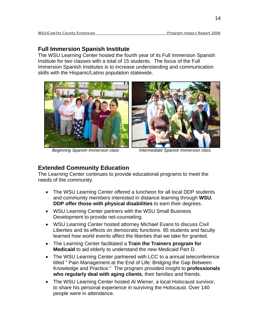## **Full Immersion Spanish Institute**

The WSU Learning Center hosted the fourth year of its Full Immersion Spanish Institute for two classes with a total of 15 students. The focus of the Full Immersion Spanish Institutes is to increase understanding and communication skills with the Hispanic/Latino population statewide.





*Beginning Spanish Immersion class Intermediate Spanish Immersion class* 

## **Extended Community Education**

The Learning Center continues to provide educational programs to meet the needs of the community.

- The WSU Learning Center offered a luncheon for all local DDP students and community members interested in distance learning through **WSU. DDP offer those with physical disabilities** to earn their degrees.
- WSU Learning Center partners with the WSU Small Business Development to provide net-counseling.
- WSU Learning Center hosted attorney Michael Evans to discuss Civil Liberties and its effects on democratic functions. 95 students and faculty learned how world events affect the liberties that we take for granted.
- The Learning Center facilitated a **Train the Trainers program for Medicaid** to aid elderly to understand the new Medicaid Part D.
- The WSU Learning Center partnered with LCC to a annual teleconference titled " Pain Management at the End of Life: Bridging the Gap Between Knowledge and Practice." The program provided insight to **professionals who regularly deal with aging clients**, their families and friends.
- The WSU Learning Center hosted Al Wiener, a local Holocaust survivor, to share his personal experience in surviving the Holocaust. Over 140 people were in attendance.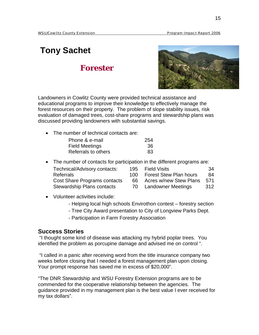# **Tony Sachet**

## **Forester**



Landowners in Cowlitz County were provided technical assistance and educational programs to improve their knowledge to effectively manage the forest resources on their property. The problem of slope stability issues, risk evaluation of damaged trees, cost-share programs and stewardship plans was discussed providing landowners with substantial savings.

• The number of technical contacts are:

| Phone & e-mail        | 254 |
|-----------------------|-----|
| <b>Field Meetings</b> | -36 |
| Referrals to others   | 83  |

• The number of contacts for participation in the different programs are:

| Technical/Advisory contacts:      | 195   | <b>Field Visits</b>           | -34  |
|-----------------------------------|-------|-------------------------------|------|
| <b>Referrals</b>                  | 100 L | <b>Forest Stew Plan hours</b> | -84  |
| Cost Share Programs contacts      | 66.   | Acres w/new Stew Plans        | 571  |
| <b>Stewardship Plans contacts</b> | 70.   | Landowner Meetings            | -312 |

- Volunteer activities include:
	- Helping local high schools Envirothon contest forestry section
	- Tree City Award presentation to City of Longview Parks Dept.
	- Participation in Farm Forestry Association

#### **Success Stories**

 "I thought some kind of disease was attacking my hybrid poplar trees. You identified the problem as porcupine damage and advised me on control ".

 "I called in a panic after receiving word from the title insurance company two weeks before closing that I needed a forest management plan upon closing. Your prompt response has saved me in excess of \$20,000".

"The DNR Stewardship and WSU Forestry Extension programs are to be commended for the cooperative relationship between the agencies. The guidance provided in my management plan is the best value I ever received for my tax dollars".